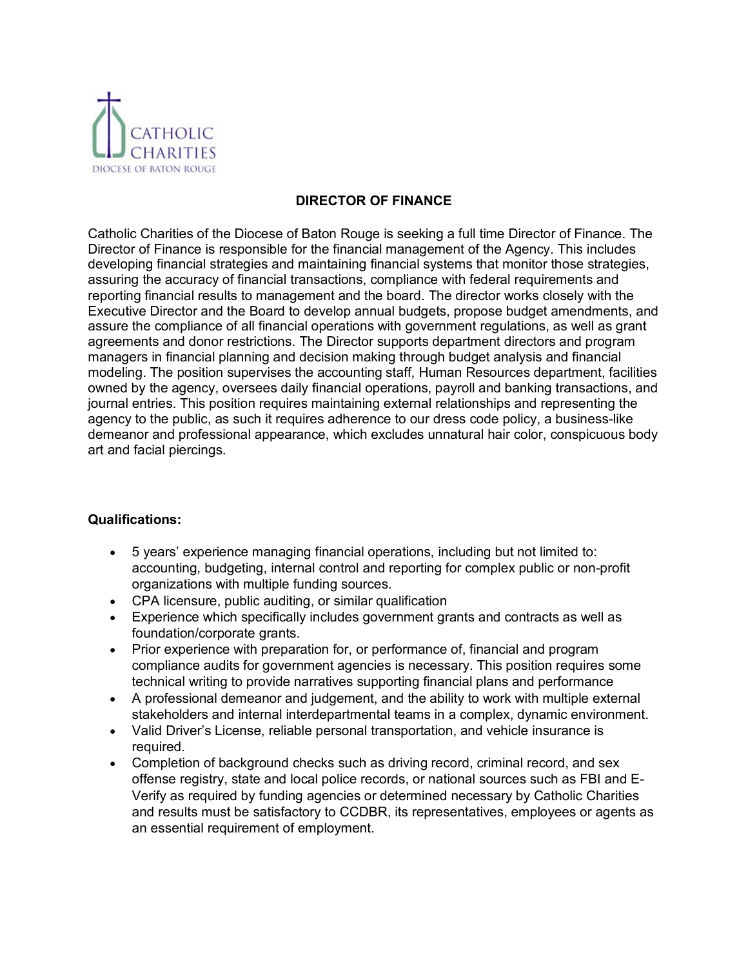

## **DIRECTOR OF FINANCE**

Catholic Charities of the Diocese of Baton Rouge is seeking a full time Director of Finance. The Director of Finance is responsible for the financial management of the Agency. This includes developing financial strategies and maintaining financial systems that monitor those strategies, assuring the accuracy of financial transactions, compliance with federal requirements and reporting financial results to management and the board. The director works closely with the Executive Director and the Board to develop annual budgets, propose budget amendments, and assure the compliance of all financial operations with government regulations, as well as grant agreements and donor restrictions. The Director supports department directors and program managers in financial planning and decision making through budget analysis and financial modeling. The position supervises the accounting staff, Human Resources department, facilities owned by the agency, oversees daily financial operations, payroll and banking transactions, and journal entries. This position requires maintaining external relationships and representing the agency to the public, as such it requires adherence to our dress code policy, a business-like demeanor and professional appearance, which excludes unnatural hair color, conspicuous body art and facial piercings.

### **Qualifications:**

- 5 years' experience managing financial operations, including but not limited to: accounting, budgeting, internal control and reporting for complex public or non-profit organizations with multiple funding sources.
- CPA licensure, public auditing, or similar qualification
- Experience which specifically includes government grants and contracts as well as foundation/corporate grants.
- Prior experience with preparation for, or performance of, financial and program compliance audits for government agencies is necessary. This position requires some technical writing to provide narratives supporting financial plans and performance
- A professional demeanor and judgement, and the ability to work with multiple external stakeholders and internal interdepartmental teams in a complex, dynamic environment.
- Valid Driver's License, reliable personal transportation, and vehicle insurance is required.
- Completion of background checks such as driving record, criminal record, and sex offense registry, state and local police records, or national sources such as FBI and E-Verify as required by funding agencies or determined necessary by Catholic Charities and results must be satisfactory to CCDBR, its representatives, employees or agents as an essential requirement of employment.